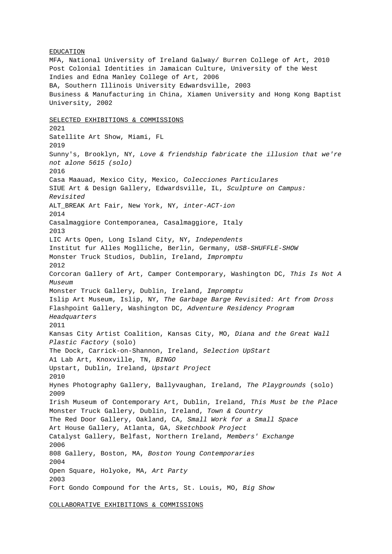EDUCATION MFA, National University of Ireland Galway/ Burren College of Art, 2010 Post Colonial Identities in Jamaican Culture, University of the West Indies and Edna Manley College of Art, 2006 BA, Southern Illinois University Edwardsville, 2003 Business & Manufacturing in China, Xiamen University and Hong Kong Baptist University, 2002 SELECTED EXHIBITIONS & COMMISSIONS 2021 Satellite Art Show, Miami, FL 2019 Sunny's, Brooklyn, NY, Love & friendship fabricate the illusion that we're not alone 5615 (solo) 2016 Casa Maauad, Mexico City, Mexico, Colecciones Particulares SIUE Art & Design Gallery, Edwardsville, IL, Sculpture on Campus: Revisited ALT\_BREAK Art Fair, New York, NY, inter-ACT-ion 2014 Casalmaggiore Contemporanea, Casalmaggiore, Italy 2013 LIC Arts Open, Long Island City, NY, Independents Institut fur Alles Moglliche, Berlin, Germany, USB-SHUFFLE-SHOW Monster Truck Studios, Dublin, Ireland, Impromptu 2012 Corcoran Gallery of Art, Camper Contemporary, Washington DC, This Is Not A Museum Monster Truck Gallery, Dublin, Ireland, Impromptu Islip Art Museum, Islip, NY, The Garbage Barge Revisited: Art from Dross Flashpoint Gallery, Washington DC, Adventure Residency Program Headquarters 2011 Kansas City Artist Coalition, Kansas City, MO, Diana and the Great Wall Plastic Factory (solo) The Dock, Carrick-on-Shannon, Ireland, Selection UpStart A1 Lab Art, Knoxville, TN, BINGO Upstart, Dublin, Ireland, Upstart Project 2010 Hynes Photography Gallery, Ballyvaughan, Ireland, The Playgrounds (solo) 2009 Irish Museum of Contemporary Art, Dublin, Ireland, This Must be the Place Monster Truck Gallery, Dublin, Ireland, Town & Country The Red Door Gallery, Oakland, CA, Small Work for a Small Space Art House Gallery, Atlanta, GA, Sketchbook Project Catalyst Gallery, Belfast, Northern Ireland, Members' Exchange 2006 808 Gallery, Boston, MA, Boston Young Contemporaries 2004 Open Square, Holyoke, MA, Art Party 2003 Fort Gondo Compound for the Arts, St. Louis, MO, Big Show

COLLABORATIVE EXHIBITIONS & COMMISSIONS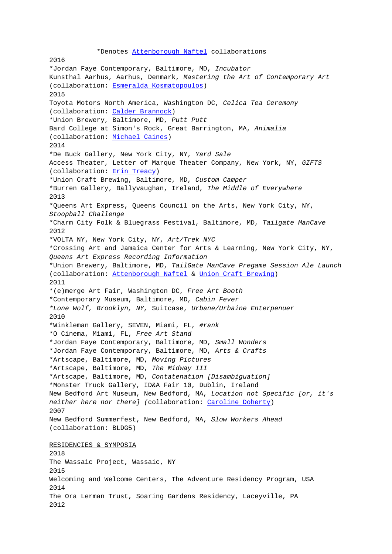2016 \*Jordan Faye Contemporary, Baltimore, MD, Incubator Kunsthal Aarhus, Aarhus, Denmark, Mastering the Art of Contemporary Art (collaboration: Esmer[alda Kosmatopoulos\)](http://attenborough-naftel.blogspot.com/) 2015 Toyota Motors North America, Washington DC, Celica Tea Ceremony (collaboration: Calder Brannock) \*Union Brewery, [Baltimore, MD,](http://www.esmeraldakosmatopoulos.com/) Putt Putt Bard College at Simon's Rock, Great Barrington, MA, Animalia (collaboration: Michael Caines) 2014 \*De Buck Gallery, New York City, NY, Yard Sale Access Theater, Letter of Marque Theater Company, New York, NY, GIFTS (collaboration: [Erin Treacy\)](http://www.michael-caines.com/) \*Union Craft Brewing, Baltimore, MD, Custom Camper \*Burren Gallery, Ballyvaughan, Ireland, The Middle of Everywhere 2013 \*Queens Art Expr[ess, Queens](http://www.erintreacy.com) Council on the Arts, New York City, NY, Stoopball Challenge \*Charm City Folk & Bluegrass Festival, Baltimore, MD, Tailgate ManCave 2012 \*VOLTA NY, New York City, NY, Art/Trek NYC \*Crossing Art and Jamaica Center for Arts & Learning, New York City, NY, Queens Art Express Recording Information \*Union Brewery, Baltimore, MD, TailGate ManCave Pregame Session Ale Launch (collaboration: Attenborough Naftel & Union Craft Brewing) 2011 \*(e)merge Art Fair, Washington DC, Free Art Booth \*Contemporary Museum, Baltimore, MD, Cabin Fever \*Lone Wolf, Broo[klyn, NY,](http://www.christopherattenborough.org/attenborough-naftel.html) Suitcase, Ur[bane/Urbaine Enterpe](http://www.unioncraftbrewing.com/project/pregame-tailgate-mild/)nuer 2010 \*Winkleman Gallery, SEVEN, Miami, FL, #rank \*O Cinema, Miami, FL, Free Art Stand \*Jordan Faye Contemporary, Baltimore, MD, Small Wonders \*Jordan Faye Contemporary, Baltimore, MD, Arts & Crafts \*Artscape, Baltimore, MD, Moving Pictures \*Artscape, Baltimore, MD, The Midway III \*Artscape, Baltimore, MD, Contatenation [Disambiguation] \*Monster Truck Gallery, ID&A Fair 10, Dublin, Ireland New Bedford Art Museum, New Bedford, MA, Location not Specific [or, it's neither here nor there] (collaboration: Caroline Doherty) 2007 New Bedford Summerfest, New Bedford, MA, Slow Workers Ahead (collaboration: BLDG5) RESIDENCIES & SYMPOSIA 2018 The Wassaic Project, Wassaic, NY 2015 Welcoming and Welcome Centers, The Adventure Residency Program, USA 2014 The Ora Lerman Trust, Soaring Gardens Residency, Laceyville, PA 2012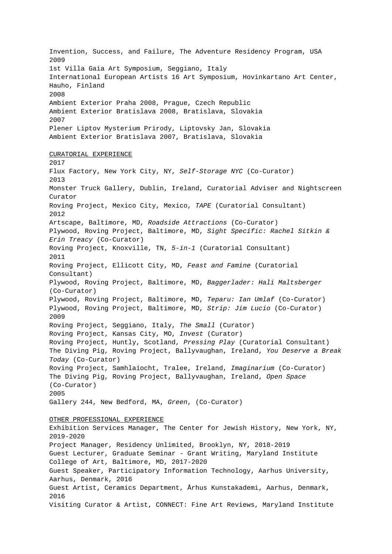Invention, Success, and Failure, The Adventure Residency Program, USA 2009 1st Villa Gaia Art Symposium, Seggiano, Italy International European Artists 16 Art Symposium, Hovinkartano Art Center, Hauho, Finland 2008 Ambient Exterior Praha 2008, Prague, Czech Republic Ambient Exterior Bratislava 2008, Bratislava, Slovakia 2007 Plener Liptov Mysterium Prirody, Liptovsky Jan, Slovakia Ambient Exterior Bratislava 2007, Bratislava, Slovakia CURATORIAL EXPERIENCE 2017 Flux Factory, New York City, NY, Self-Storage NYC (Co-Curator) 2013 Monster Truck Gallery, Dublin, Ireland, Curatorial Adviser and Nightscreen Curator Roving Project, Mexico City, Mexico, TAPE (Curatorial Consultant) 2012 Artscape, Baltimore, MD, Roadside Attractions (Co-Curator) Plywood, Roving Project, Baltimore, MD, Sight Specific: Rachel Sitkin & Erin Treacy (Co-Curator) Roving Project, Knoxville, TN, 5-in-1 (Curatorial Consultant) 2011 Roving Project, Ellicott City, MD, Feast and Famine (Curatorial Consultant) Plywood, Roving Project, Baltimore, MD, Baggerlader: Hali Maltsberger (Co-Curator) Plywood, Roving Project, Baltimore, MD, Teparu: Ian Umlaf (Co-Curator) Plywood, Roving Project, Baltimore, MD, Strip: Jim Lucio (Co-Curator) 2009 Roving Project, Seggiano, Italy, The Small (Curator) Roving Project, Kansas City, MO, Invest (Curator) Roving Project, Huntly, Scotland, Pressing Play (Curatorial Consultant) The Diving Pig, Roving Project, Ballyvaughan, Ireland, You Deserve a Break Today (Co-Curator) Roving Project, Samhlaíocht, Tralee, Ireland, Imaginarium (Co-Curator) The Diving Pig, Roving Project, Ballyvaughan, Ireland, Open Space (Co-Curator) 2005 Gallery 244, New Bedford, MA, Green, (Co-Curator) OTHER PROFESSIONAL EXPERIENCE Exhibition Services Manager, The Center for Jewish History, New York, NY, 2019-2020 Project Manager, Residency Unlimited, Brooklyn, NY, 2018-2019 Guest Lecturer, Graduate Seminar - Grant Writing, Maryland Institute College of Art, Baltimore, MD, 2017-2020 Guest Speaker, Participatory Information Technology, Aarhus University, Aarhus, Denmark, 2016 Guest Artist, Ceramics Department, Århus Kunstakademi, Aarhus, Denmark, 2016 Visiting Curator & Artist, CONNECT: Fine Art Reviews, Maryland Institute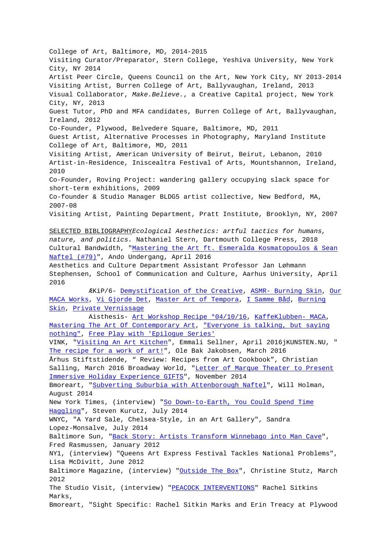College of Art, Baltimore, MD, 2014-2015 Visiting Curator/Preparator, Stern College, Yeshiva University, New York City, NY 2014 Artist Peer Circle, Queens Council on the Art, New York City, NY 2013-2014 Visiting Artist, Burren College of Art, Ballyvaughan, Ireland, 2013 Visual Collaborator, Make.Believe., a Creative Capital project, New York City, NY, 2013 Guest Tutor, PhD and MFA candidates, Burren College of Art, Ballyvaughan, Ireland, 2012 Co-Founder, Plywood, Belvedere Square, Baltimore, MD, 2011 Guest Artist, Alternative Processes in Photography, Maryland Institute College of Art, Baltimore, MD, 2011 Visiting Artist, American University of Beirut, Beirut, Lebanon, 2010 Artist-in-Residence, Iniscealtra Festival of Arts, Mountshannon, Ireland, 2010 Co-Founder, Roving Project: wandering gallery occupying slack space for short-term exhibitions, 2009 Co-founder & Studio Manager BLDG5 artist collective, New Bedford, MA, 2007-08 Visiting Artist, Painting Department, Pratt Institute, Brooklyn, NY, 2007 SELECTED BIBLIOGRAPHYEcological Aesthetics: artful tactics for humans, nature, and politics. Nathaniel Stern, Dartmouth College Press, 2018 Cultural Bandwidth, "Mastering the Art ft. Esmeralda Kosmatopoulos & Sean Naftel (#79)", Ando Undergang, April 2016 Aesthetics and Culture Department Assistant Professor Jan Løhmann Stephensen, School of Communication and Culture, Aarhus University, April 2016  [ÆKi](https://www.culturalbandwidth.com/cultband/mastering-the-art-ft-esmeralda-kosmatopoulos-sean-naftel-79?rq=naftel)P/6- Demystification of the Creative, ASMR- Burning Skin, Our MACA Works, Vi Gjorde Det, Master Art of Tempora, I Samme Båd, Burning Skin, Private Vernissage Aisthesis- Art Workshop Recipe \*04/10/16, KaffeKlubben- MACA, Mastering The Art [Of Contemporary Art, "Everyone i](http://aekip6.tumblr.com/post/141655392592/afmystificering-af-det-kreative)s [talking, but sayin](http://aekip6.tumblr.com/post/142796777407/denne-asmr-video-arbejder-videre-p%C3%A5-det-materielle?is_related_post=1)g [nothing", F](http://aekip6.tumblr.com/post/142685725412/vores-maca-v%C3%A6rker?is_related_post=1)r[ee Play with](http://aekip6.tumblr.com/post/143373221017?is_related_post=1) 'E[pilogue Series'](http://aekip6.tumblr.com/post/143373183087?is_related_post=1) [VINK,](http://aekip6.tumblr.com/post/143373065367?is_related_post=1) ["Visiting An Art Ki](http://aekip6.tumblr.com/post/143374218752/d-21-april-afholdt-vi-fernisering-for-vores?is_related_post=1)tchen", Emmali Sellner, April 2016jKUNSTEN.NU, " The recipe for a work [of art!", Ole Bak Jakobsen, M](http://aekip2.tumblr.com/post/143326130540/art-recipe-workshop-100416?is_related_post=1)a[rch 2016](http://aekip2.tumblr.com/post/143313947970/nyeste-kaffeklubben-podcast-denne-gang-diskuteres?is_related_post=1) [Århus Stiftstidende, " Review: Recipes](http://aekip2.tumblr.com/post/143368180455/mastering-the-art-of-contemporary-art?is_related_post=1) [from Art Cookbook", Christian](http://aekip2.tumblr.com/post/143326421080/everyone-is-talking-loud-but-saying-nothing?is_related_post=1) [Salling,](http://aekip2.tumblr.com/post/143326421080/everyone-is-talking-loud-but-saying-nothing?is_related_post=1) M[arch 2016 Broadway World, "Letter](http://aekip2.tumblr.com/post/143368142635/fri-leg-med-epilogue-series?is_related_post=1) of Marque Theater to Present Immersi[ve Holiday Experience GI](http://www.vinkaarhus.dk/se/paa-besoeg-kunstkoekken/)FTS", November 2014 [Bmoreart, "Subverting Suburbia](http://kunsten.nu/journal/opskriften-paa-et-kunstvaerk/) with Attenborough Naftel", Will Holman, August 2014 New York Times, (interview) "So Down-[to-Earth, You Could Spend Time](http://www.broadwayworld.com/off-off-broadway/article/Letter-of-Marque-Theater-to-Present-Naftel-and-Harmets-Immersive-GIFTS-124-21-20141124) [Haggling", Steven Kurutz, July 2014](http://www.broadwayworld.com/off-off-broadway/article/Letter-of-Marque-Theater-to-Present-Naftel-and-Harmets-Immersive-GIFTS-124-21-20141124) WNYC, "A Ya[rd Sale, Chelsea-Style, in an Art Gallery", S](http://bmoreart.com/2014/08/subverting-suburbia-with-attenborough-naftel-by-will-holman.html)andra Lopez-Monsalve, July 2014 Baltimore Sun, "Back Story: A[rtists Transform Winnebago into Man Cav](http://www.nytimes.com/2014/07/24/garden/so-down-to-earth-you-could-spend-time-haggling.html?_r=0)e", [Fred Rasm](http://www.nytimes.com/2014/07/24/garden/so-down-to-earth-you-could-spend-time-haggling.html?_r=0)ussen, January 2012 NY1, (interview) "Queens Art Express Festival Tackles National Problems", Lisa McDivitt, June 2012 Baltimore Magazi[ne, \(interview\) "Outside The Box", Christine Stutz, Ma](http://articles.baltimoresun.com/2013-01-03/news/bs-md-backstory-man-cave-20130103_1_man-cave-winnebago-installations)rch 2012 The Studio Visit, (interview) "PEACOCK INTERVENTIONS" Rachel Sitkins Marks, Bmoreart, "Sight Specific: Rachel [Sitkin Marks an](http://www.baltimoremagazine.net/old-site/arts/2012/03/outside-the-box)d Erin Treacy at Plywood